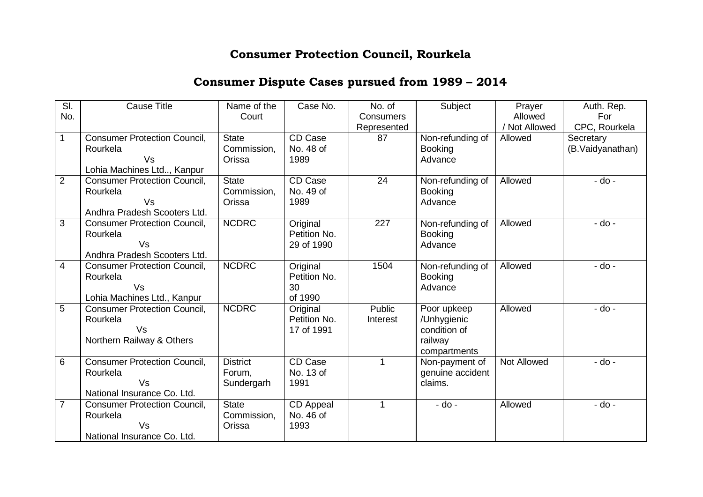## **Consumer Protection Council, Rourkela**

## **Consumer Dispute Cases pursued from 1989 – 2014**

| SI.            | <b>Cause Title</b>                  | Name of the     | Case No.     | No. of           | Subject          | Prayer             | Auth. Rep.       |
|----------------|-------------------------------------|-----------------|--------------|------------------|------------------|--------------------|------------------|
| No.            |                                     | Court           |              | <b>Consumers</b> |                  | Allowed            | For              |
|                |                                     |                 |              | Represented      |                  | Not Allowed        | CPC, Rourkela    |
| 1              | <b>Consumer Protection Council,</b> | <b>State</b>    | CD Case      | 87               | Non-refunding of | Allowed            | Secretary        |
|                | Rourkela                            | Commission,     | No. 48 of    |                  | <b>Booking</b>   |                    | (B.Vaidyanathan) |
|                | Vs                                  | Orissa          | 1989         |                  | Advance          |                    |                  |
|                | Lohia Machines Ltd, Kanpur          |                 |              |                  |                  |                    |                  |
| $\overline{2}$ | <b>Consumer Protection Council,</b> | <b>State</b>    | CD Case      | 24               | Non-refunding of | Allowed            | $-do -$          |
|                | Rourkela                            | Commission,     | No. 49 of    |                  | <b>Booking</b>   |                    |                  |
|                | Vs                                  | Orissa          | 1989         |                  | Advance          |                    |                  |
|                | Andhra Pradesh Scooters Ltd.        |                 |              |                  |                  |                    |                  |
| 3              | <b>Consumer Protection Council,</b> | <b>NCDRC</b>    | Original     | 227              | Non-refunding of | Allowed            | $-$ do $-$       |
|                | Rourkela                            |                 | Petition No. |                  | <b>Booking</b>   |                    |                  |
|                | Vs                                  |                 | 29 of 1990   |                  | Advance          |                    |                  |
|                | Andhra Pradesh Scooters Ltd.        |                 |              |                  |                  |                    |                  |
| $\overline{4}$ | <b>Consumer Protection Council,</b> | <b>NCDRC</b>    | Original     | 1504             | Non-refunding of | Allowed            | $-do -$          |
|                | Rourkela                            |                 | Petition No. |                  | <b>Booking</b>   |                    |                  |
|                | Vs                                  |                 | 30           |                  | Advance          |                    |                  |
|                | Lohia Machines Ltd., Kanpur         |                 | of 1990      |                  |                  |                    |                  |
| 5              | <b>Consumer Protection Council,</b> | <b>NCDRC</b>    | Original     | Public           | Poor upkeep      | Allowed            | $-do -$          |
|                | Rourkela                            |                 | Petition No. | Interest         | /Unhygienic      |                    |                  |
|                | Vs                                  |                 | 17 of 1991   |                  | condition of     |                    |                  |
|                | Northern Railway & Others           |                 |              |                  | railway          |                    |                  |
|                |                                     |                 |              |                  | compartments     |                    |                  |
| 6              | <b>Consumer Protection Council,</b> | <b>District</b> | CD Case      | 1                | Non-payment of   | <b>Not Allowed</b> | $-do -$          |
|                | Rourkela                            | Forum,          | No. 13 of    |                  | genuine accident |                    |                  |
|                | Vs                                  | Sundergarh      | 1991         |                  | claims.          |                    |                  |
|                | National Insurance Co. Ltd.         |                 |              |                  |                  |                    |                  |
| $\overline{7}$ | <b>Consumer Protection Council,</b> | <b>State</b>    | CD Appeal    | 1                | $-$ do $-$       | Allowed            | - do -           |
|                | Rourkela                            | Commission,     | No. 46 of    |                  |                  |                    |                  |
|                | Vs                                  | Orissa          | 1993         |                  |                  |                    |                  |
|                | National Insurance Co. Ltd.         |                 |              |                  |                  |                    |                  |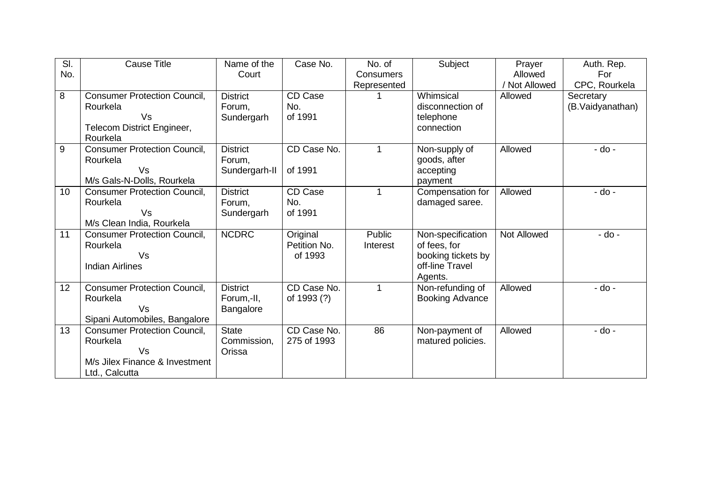| SI. | <b>Cause Title</b>                  | Name of the     | Case No.       | No. of        | Subject                | Prayer        | Auth. Rep.       |
|-----|-------------------------------------|-----------------|----------------|---------------|------------------------|---------------|------------------|
| No. |                                     | Court           |                | Consumers     |                        | Allowed       | For              |
|     |                                     |                 |                | Represented   |                        | / Not Allowed | CPC, Rourkela    |
| 8   | <b>Consumer Protection Council,</b> | <b>District</b> | <b>CD Case</b> |               | Whimsical              | Allowed       | Secretary        |
|     | Rourkela                            | Forum,          | No.            |               | disconnection of       |               | (B.Vaidyanathan) |
|     | Vs                                  | Sundergarh      | of 1991        |               | telephone              |               |                  |
|     | Telecom District Engineer,          |                 |                |               | connection             |               |                  |
|     | Rourkela                            |                 |                |               |                        |               |                  |
| 9   | <b>Consumer Protection Council,</b> | <b>District</b> | CD Case No.    |               | Non-supply of          | Allowed       | - do -           |
|     | Rourkela                            | Forum,          |                |               | goods, after           |               |                  |
|     | Vs                                  | Sundergarh-II   | of 1991        |               | accepting              |               |                  |
|     | M/s Gals-N-Dolls, Rourkela          |                 |                |               | payment                |               |                  |
| 10  | <b>Consumer Protection Council,</b> | <b>District</b> | CD Case        | 1             | Compensation for       | Allowed       | $-do -$          |
|     | Rourkela                            | Forum,          | No.            |               | damaged saree.         |               |                  |
|     | Vs                                  | Sundergarh      | of 1991        |               |                        |               |                  |
|     | M/s Clean India, Rourkela           |                 |                |               |                        |               |                  |
| 11  | <b>Consumer Protection Council,</b> | <b>NCDRC</b>    | Original       | <b>Public</b> | Non-specification      | Not Allowed   | $-do -$          |
|     | Rourkela                            |                 | Petition No.   | Interest      | of fees, for           |               |                  |
|     | Vs                                  |                 | of 1993        |               | booking tickets by     |               |                  |
|     | <b>Indian Airlines</b>              |                 |                |               | off-line Travel        |               |                  |
|     |                                     |                 |                |               | Agents.                |               |                  |
| 12  | <b>Consumer Protection Council,</b> | <b>District</b> | CD Case No.    | $\mathbf{1}$  | Non-refunding of       | Allowed       | $-do -$          |
|     | Rourkela                            | Forum,-II,      | of 1993 (?)    |               | <b>Booking Advance</b> |               |                  |
|     | <b>Vs</b>                           | Bangalore       |                |               |                        |               |                  |
|     | Sipani Automobiles, Bangalore       |                 |                |               |                        |               |                  |
| 13  | <b>Consumer Protection Council,</b> | <b>State</b>    | CD Case No.    | 86            | Non-payment of         | Allowed       | - do -           |
|     | Rourkela                            | Commission,     | 275 of 1993    |               | matured policies.      |               |                  |
|     | <b>Vs</b>                           | Orissa          |                |               |                        |               |                  |
|     | M/s Jilex Finance & Investment      |                 |                |               |                        |               |                  |
|     | Ltd., Calcutta                      |                 |                |               |                        |               |                  |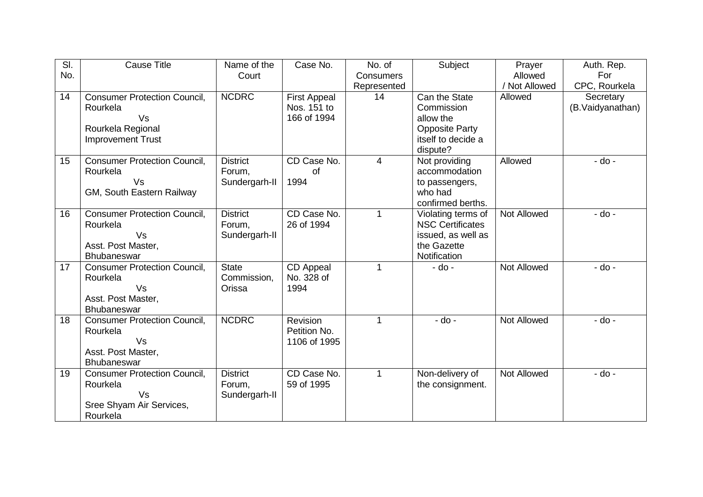| $\overline{\mathsf{SI}}$ | <b>Cause Title</b>                                                                                     | Name of the                                | Case No.                                          | No. of           | Subject                                                                                             | Prayer             | Auth. Rep.                    |
|--------------------------|--------------------------------------------------------------------------------------------------------|--------------------------------------------|---------------------------------------------------|------------------|-----------------------------------------------------------------------------------------------------|--------------------|-------------------------------|
| No.                      |                                                                                                        | Court                                      |                                                   | <b>Consumers</b> |                                                                                                     | Allowed            | For                           |
|                          |                                                                                                        |                                            |                                                   | Represented      |                                                                                                     | / Not Allowed      | CPC, Rourkela                 |
| 14                       | <b>Consumer Protection Council,</b><br>Rourkela<br>Vs<br>Rourkela Regional<br><b>Improvement Trust</b> | <b>NCDRC</b>                               | <b>First Appeal</b><br>Nos. 151 to<br>166 of 1994 | 14               | Can the State<br>Commission<br>allow the<br><b>Opposite Party</b><br>itself to decide a<br>dispute? | Allowed            | Secretary<br>(B.Vaidyanathan) |
| 15                       | <b>Consumer Protection Council,</b><br>Rourkela<br>Vs<br>GM, South Eastern Railway                     | <b>District</b><br>Forum,<br>Sundergarh-II | CD Case No.<br>of<br>1994                         | 4                | Not providing<br>accommodation<br>to passengers,<br>who had<br>confirmed berths.                    | Allowed            | $-do -$                       |
| 16                       | <b>Consumer Protection Council,</b><br>Rourkela<br>Vs<br>Asst. Post Master,<br>Bhubaneswar             | <b>District</b><br>Forum,<br>Sundergarh-II | CD Case No.<br>26 of 1994                         | 1                | Violating terms of<br><b>NSC Certificates</b><br>issued, as well as<br>the Gazette<br>Notification  | <b>Not Allowed</b> | $-do -$                       |
| 17                       | <b>Consumer Protection Council,</b><br>Rourkela<br>Vs<br>Asst. Post Master,<br>Bhubaneswar             | <b>State</b><br>Commission,<br>Orissa      | CD Appeal<br>No. 328 of<br>1994                   | 1                | $-$ do $-$                                                                                          | <b>Not Allowed</b> | $-do -$                       |
| 18                       | <b>Consumer Protection Council,</b><br>Rourkela<br>Vs<br>Asst. Post Master,<br>Bhubaneswar             | <b>NCDRC</b>                               | Revision<br>Petition No.<br>1106 of 1995          | 1                | $-do -$                                                                                             | <b>Not Allowed</b> | $-do -$                       |
| 19                       | <b>Consumer Protection Council,</b><br>Rourkela<br>Vs<br>Sree Shyam Air Services,<br>Rourkela          | <b>District</b><br>Forum,<br>Sundergarh-II | CD Case No.<br>59 of 1995                         | $\mathbf 1$      | Non-delivery of<br>the consignment.                                                                 | Not Allowed        | $-do -$                       |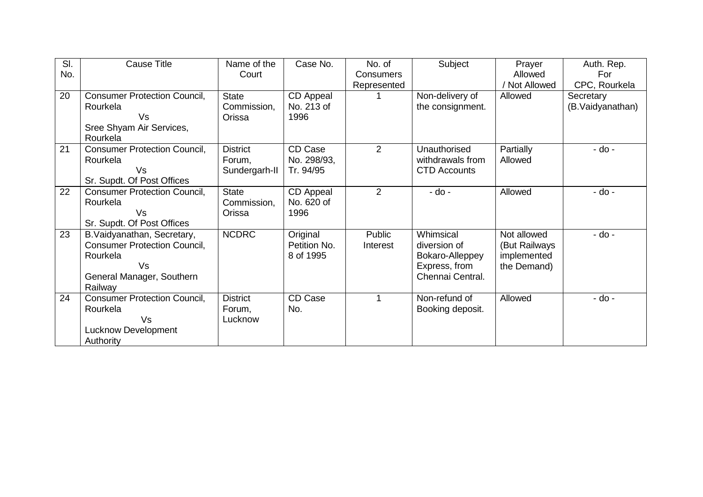| SI.<br>No. | <b>Cause Title</b>                                                                                                           | Name of the<br>Court                       | Case No.                              | No. of<br><b>Consumers</b><br>Represented | Subject                                                                           | Prayer<br>Allowed<br>Not Allowed                           | Auth. Rep.<br>For<br>CPC, Rourkela |
|------------|------------------------------------------------------------------------------------------------------------------------------|--------------------------------------------|---------------------------------------|-------------------------------------------|-----------------------------------------------------------------------------------|------------------------------------------------------------|------------------------------------|
| 20         | <b>Consumer Protection Council,</b><br>Rourkela<br>Vs<br>Sree Shyam Air Services,<br>Rourkela                                | <b>State</b><br>Commission,<br>Orissa      | CD Appeal<br>No. 213 of<br>1996       |                                           | Non-delivery of<br>the consignment.                                               | Allowed                                                    | Secretary<br>(B.Vaidyanathan)      |
| 21         | <b>Consumer Protection Council,</b><br>Rourkela<br>Vs<br>Sr. Supdt. Of Post Offices                                          | <b>District</b><br>Forum,<br>Sundergarh-II | CD Case<br>No. 298/93,<br>Tr. 94/95   | 2                                         | Unauthorised<br>withdrawals from<br><b>CTD Accounts</b>                           | Partially<br>Allowed                                       | - do -                             |
| 22         | <b>Consumer Protection Council,</b><br>Rourkela<br>Vs<br>Sr. Supdt. Of Post Offices                                          | <b>State</b><br>Commission,<br>Orissa      | CD Appeal<br>No. 620 of<br>1996       | 2                                         | - do -                                                                            | Allowed                                                    | - do -                             |
| 23         | B. Vaidyanathan, Secretary,<br><b>Consumer Protection Council,</b><br>Rourkela<br>Vs<br>General Manager, Southern<br>Railway | <b>NCDRC</b>                               | Original<br>Petition No.<br>8 of 1995 | Public<br>Interest                        | Whimsical<br>diversion of<br>Bokaro-Alleppey<br>Express, from<br>Chennai Central. | Not allowed<br>(But Railways<br>implemented<br>the Demand) | - do -                             |
| 24         | <b>Consumer Protection Council,</b><br>Rourkela<br>Vs<br><b>Lucknow Development</b><br>Authority                             | <b>District</b><br>Forum,<br>Lucknow       | CD Case<br>No.                        |                                           | Non-refund of<br>Booking deposit.                                                 | Allowed                                                    | - do -                             |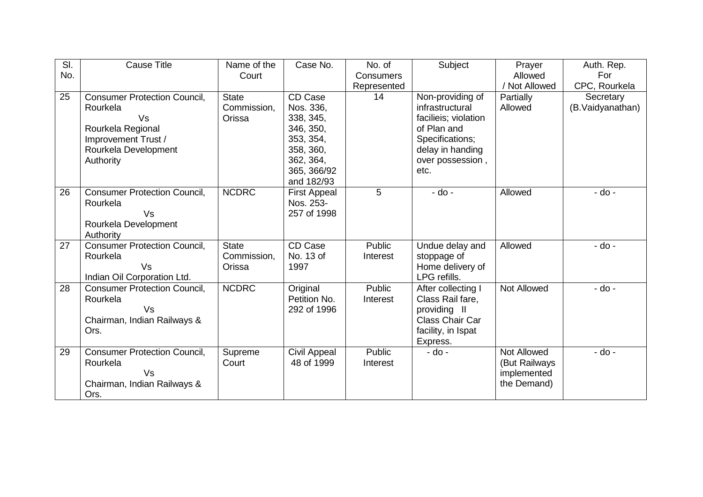| $\overline{\mathsf{SI}}$ | <b>Cause Title</b>                  | Name of the  | Case No.            | No. of      | Subject                | Prayer             | Auth. Rep.       |
|--------------------------|-------------------------------------|--------------|---------------------|-------------|------------------------|--------------------|------------------|
| No.                      |                                     | Court        |                     | Consumers   |                        | Allowed            | For              |
|                          |                                     |              |                     | Represented |                        | / Not Allowed      | CPC, Rourkela    |
| 25                       | <b>Consumer Protection Council,</b> | <b>State</b> | CD Case             | 14          | Non-providing of       | Partially          | Secretary        |
|                          | Rourkela                            | Commission,  | Nos. 336,           |             | infrastructural        | Allowed            | (B.Vaidyanathan) |
|                          | Vs                                  | Orissa       | 338, 345,           |             | facilieis; violation   |                    |                  |
|                          | Rourkela Regional                   |              | 346, 350,           |             | of Plan and            |                    |                  |
|                          | Improvement Trust /                 |              | 353, 354,           |             | Specifications;        |                    |                  |
|                          | Rourkela Development                |              | 358, 360,           |             | delay in handing       |                    |                  |
|                          | Authority                           |              | 362, 364,           |             | over possession,       |                    |                  |
|                          |                                     |              | 365, 366/92         |             | etc.                   |                    |                  |
|                          |                                     |              | and 182/93          |             |                        |                    |                  |
| 26                       | <b>Consumer Protection Council,</b> | <b>NCDRC</b> | <b>First Appeal</b> | 5           | - do -                 | Allowed            | $-do -$          |
|                          | Rourkela                            |              | Nos. 253-           |             |                        |                    |                  |
|                          | Vs                                  |              | 257 of 1998         |             |                        |                    |                  |
|                          | Rourkela Development                |              |                     |             |                        |                    |                  |
|                          | Authority                           |              |                     |             |                        |                    |                  |
| 27                       | <b>Consumer Protection Council,</b> | <b>State</b> | CD Case             | Public      | Undue delay and        | Allowed            | - do -           |
|                          | Rourkela                            | Commission,  | No. 13 of           | Interest    | stoppage of            |                    |                  |
|                          | Vs                                  | Orissa       | 1997                |             | Home delivery of       |                    |                  |
|                          | Indian Oil Corporation Ltd.         |              |                     |             | LPG refills.           |                    |                  |
| 28                       | <b>Consumer Protection Council,</b> | <b>NCDRC</b> | Original            | Public      | After collecting I     | Not Allowed        | - do -           |
|                          | Rourkela                            |              | Petition No.        | Interest    | Class Rail fare,       |                    |                  |
|                          | Vs                                  |              | 292 of 1996         |             | providing II           |                    |                  |
|                          | Chairman, Indian Railways &         |              |                     |             | <b>Class Chair Car</b> |                    |                  |
|                          | Ors.                                |              |                     |             | facility, in Ispat     |                    |                  |
|                          |                                     |              |                     |             | Express.               |                    |                  |
| 29                       | <b>Consumer Protection Council,</b> | Supreme      | <b>Civil Appeal</b> | Public      | - do -                 | <b>Not Allowed</b> | - do -           |
|                          | Rourkela                            | Court        | 48 of 1999          | Interest    |                        | (But Railways      |                  |
|                          | Vs                                  |              |                     |             |                        | implemented        |                  |
|                          | Chairman, Indian Railways &         |              |                     |             |                        | the Demand)        |                  |
|                          | Ors.                                |              |                     |             |                        |                    |                  |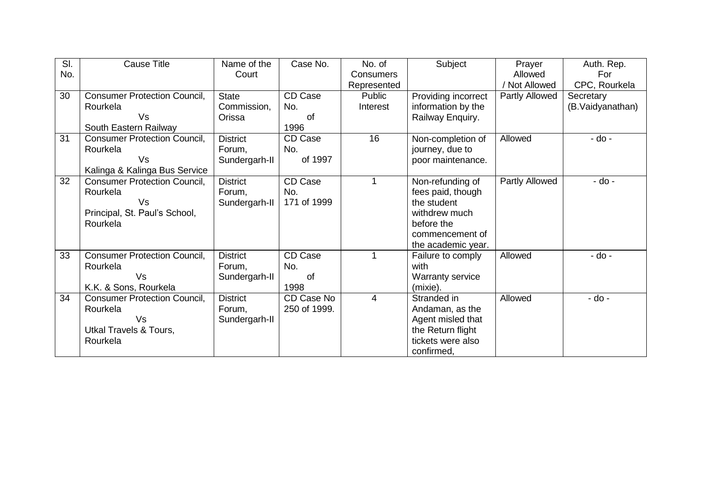| SI. | <b>Cause Title</b>                  | Name of the     | Case No.     | No. of           | Subject             | Prayer                | Auth. Rep.       |
|-----|-------------------------------------|-----------------|--------------|------------------|---------------------|-----------------------|------------------|
| No. |                                     | Court           |              | <b>Consumers</b> |                     | Allowed               | For              |
|     |                                     |                 |              | Represented      |                     | Not Allowed           | CPC, Rourkela    |
| 30  | <b>Consumer Protection Council,</b> | <b>State</b>    | CD Case      | Public           | Providing incorrect | <b>Partly Allowed</b> | Secretary        |
|     | Rourkela                            | Commission,     | No.          | Interest         | information by the  |                       | (B.Vaidyanathan) |
|     | Vs                                  | Orissa          | of           |                  | Railway Enquiry.    |                       |                  |
|     | South Eastern Railway               |                 | 1996         |                  |                     |                       |                  |
| 31  | <b>Consumer Protection Council,</b> | <b>District</b> | CD Case      | 16               | Non-completion of   | Allowed               | - do -           |
|     | Rourkela                            | Forum.          | No.          |                  | journey, due to     |                       |                  |
|     | Vs                                  | Sundergarh-II   | of 1997      |                  | poor maintenance.   |                       |                  |
|     | Kalinga & Kalinga Bus Service       |                 |              |                  |                     |                       |                  |
| 32  | <b>Consumer Protection Council,</b> | <b>District</b> | CD Case      |                  | Non-refunding of    | Partly Allowed        | - do -           |
|     | Rourkela                            | Forum,          | No.          |                  | fees paid, though   |                       |                  |
|     | Vs                                  | Sundergarh-II   | 171 of 1999  |                  | the student         |                       |                  |
|     | Principal, St. Paul's School,       |                 |              |                  | withdrew much       |                       |                  |
|     | Rourkela                            |                 |              |                  | before the          |                       |                  |
|     |                                     |                 |              |                  | commencement of     |                       |                  |
|     |                                     |                 |              |                  | the academic year.  |                       |                  |
| 33  | <b>Consumer Protection Council,</b> | <b>District</b> | CD Case      | 1                | Failure to comply   | Allowed               | $-do -$          |
|     | Rourkela                            | Forum,          | No.          |                  | with                |                       |                  |
|     | Vs                                  | Sundergarh-II   | <b>of</b>    |                  | Warranty service    |                       |                  |
|     | K.K. & Sons, Rourkela               |                 | 1998         |                  | (mixie).            |                       |                  |
| 34  | <b>Consumer Protection Council,</b> | <b>District</b> | CD Case No   | $\overline{4}$   | Stranded in         | Allowed               | $-$ do $-$       |
|     | Rourkela                            | Forum.          | 250 of 1999. |                  | Andaman, as the     |                       |                  |
|     | Vs                                  | Sundergarh-II   |              |                  | Agent misled that   |                       |                  |
|     | <b>Utkal Travels &amp; Tours,</b>   |                 |              |                  | the Return flight   |                       |                  |
|     | Rourkela                            |                 |              |                  | tickets were also   |                       |                  |
|     |                                     |                 |              |                  | confirmed,          |                       |                  |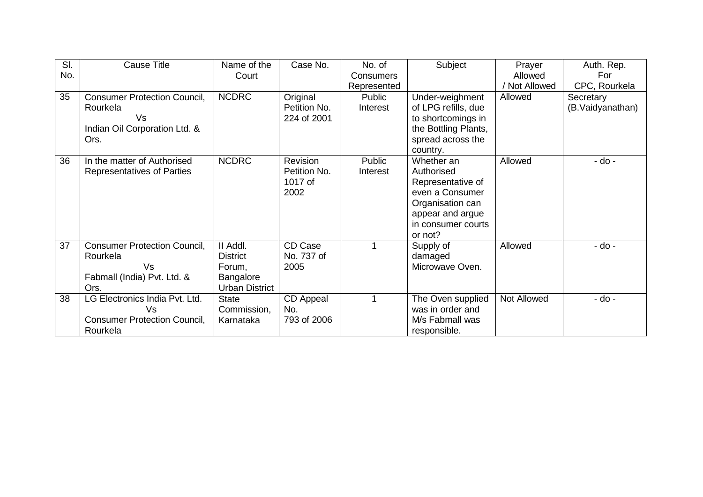| SI. | <b>Cause Title</b>                  | Name of the           | Case No.         | No. of           | Subject              | Prayer      | Auth. Rep.       |
|-----|-------------------------------------|-----------------------|------------------|------------------|----------------------|-------------|------------------|
| No. |                                     | Court                 |                  | <b>Consumers</b> |                      | Allowed     | For              |
|     |                                     |                       |                  | Represented      |                      | Not Allowed | CPC, Rourkela    |
| 35  | <b>Consumer Protection Council,</b> | <b>NCDRC</b>          | Original         | Public           | Under-weighment      | Allowed     | Secretary        |
|     | Rourkela                            |                       | Petition No.     | Interest         | of LPG refills, due  |             | (B.Vaidyanathan) |
|     | Vs                                  |                       | 224 of 2001      |                  | to shortcomings in   |             |                  |
|     | Indian Oil Corporation Ltd. &       |                       |                  |                  | the Bottling Plants, |             |                  |
|     | Ors.                                |                       |                  |                  | spread across the    |             |                  |
|     |                                     |                       |                  |                  | country.             |             |                  |
| 36  | In the matter of Authorised         | <b>NCDRC</b>          | Revision         | Public           | Whether an           | Allowed     | - do -           |
|     | Representatives of Parties          |                       | Petition No.     | Interest         | Authorised           |             |                  |
|     |                                     |                       | 1017 of          |                  | Representative of    |             |                  |
|     |                                     |                       | 2002             |                  | even a Consumer      |             |                  |
|     |                                     |                       |                  |                  | Organisation can     |             |                  |
|     |                                     |                       |                  |                  | appear and argue     |             |                  |
|     |                                     |                       |                  |                  | in consumer courts   |             |                  |
|     |                                     |                       |                  |                  | or not?              |             |                  |
| 37  | <b>Consumer Protection Council,</b> | II Addl.              | CD Case          |                  | Supply of            | Allowed     | - do -           |
|     | Rourkela                            | <b>District</b>       | No. 737 of       |                  | damaged              |             |                  |
|     | Vs                                  | Forum.                | 2005             |                  | Microwave Oven.      |             |                  |
|     | Fabmall (India) Pvt. Ltd. &         | Bangalore             |                  |                  |                      |             |                  |
|     | Ors.                                | <b>Urban District</b> |                  |                  |                      |             |                  |
| 38  | LG Electronics India Pvt. Ltd.      | <b>State</b>          | <b>CD</b> Appeal | 1                | The Oven supplied    | Not Allowed | - do -           |
|     | Vs                                  | Commission,           | No.              |                  | was in order and     |             |                  |
|     | <b>Consumer Protection Council,</b> | Karnataka             | 793 of 2006      |                  | M/s Fabmall was      |             |                  |
|     | Rourkela                            |                       |                  |                  | responsible.         |             |                  |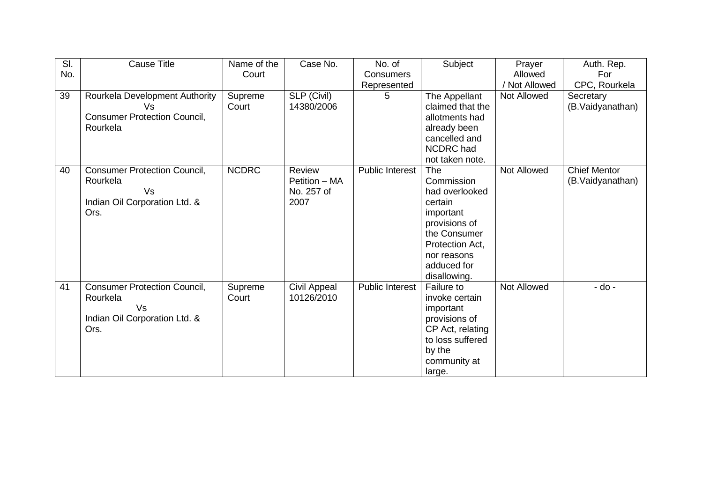| SI. | <b>Cause Title</b>                  | Name of the  | Case No.           | No. of                 | Subject          | Prayer             | Auth. Rep.          |
|-----|-------------------------------------|--------------|--------------------|------------------------|------------------|--------------------|---------------------|
| No. |                                     | Court        |                    | Consumers              |                  | Allowed            | For                 |
|     |                                     |              |                    | Represented            |                  | Not Allowed        | CPC, Rourkela       |
| 39  | Rourkela Development Authority      | Supreme      | <b>SLP (Civil)</b> | 5.                     | The Appellant    | Not Allowed        | Secretary           |
|     | Vs                                  | Court        | 14380/2006         |                        | claimed that the |                    | (B.Vaidyanathan)    |
|     | <b>Consumer Protection Council,</b> |              |                    |                        | allotments had   |                    |                     |
|     | Rourkela                            |              |                    |                        | already been     |                    |                     |
|     |                                     |              |                    |                        | cancelled and    |                    |                     |
|     |                                     |              |                    |                        | NCDRC had        |                    |                     |
|     |                                     |              |                    |                        | not taken note.  |                    |                     |
| 40  | <b>Consumer Protection Council,</b> | <b>NCDRC</b> | Review             | <b>Public Interest</b> | The              | <b>Not Allowed</b> | <b>Chief Mentor</b> |
|     | Rourkela                            |              | Petition - MA      |                        | Commission       |                    | (B.Vaidyanathan)    |
|     | Vs                                  |              | No. 257 of         |                        | had overlooked   |                    |                     |
|     | Indian Oil Corporation Ltd. &       |              | 2007               |                        | certain          |                    |                     |
|     | Ors.                                |              |                    |                        | important        |                    |                     |
|     |                                     |              |                    |                        | provisions of    |                    |                     |
|     |                                     |              |                    |                        | the Consumer     |                    |                     |
|     |                                     |              |                    |                        | Protection Act,  |                    |                     |
|     |                                     |              |                    |                        | nor reasons      |                    |                     |
|     |                                     |              |                    |                        | adduced for      |                    |                     |
|     |                                     |              |                    |                        | disallowing.     |                    |                     |
| 41  | <b>Consumer Protection Council,</b> | Supreme      | Civil Appeal       | Public Interest        | Failure to       | <b>Not Allowed</b> | - do -              |
|     | Rourkela                            | Court        | 10126/2010         |                        | invoke certain   |                    |                     |
|     | Vs                                  |              |                    |                        | important        |                    |                     |
|     | Indian Oil Corporation Ltd. &       |              |                    |                        | provisions of    |                    |                     |
|     | Ors.                                |              |                    |                        | CP Act, relating |                    |                     |
|     |                                     |              |                    |                        | to loss suffered |                    |                     |
|     |                                     |              |                    |                        | by the           |                    |                     |
|     |                                     |              |                    |                        | community at     |                    |                     |
|     |                                     |              |                    |                        | large.           |                    |                     |